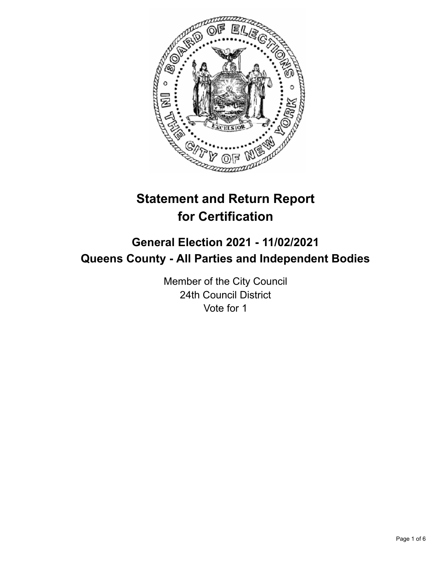

# **Statement and Return Report for Certification**

## **General Election 2021 - 11/02/2021 Queens County - All Parties and Independent Bodies**

Member of the City Council 24th Council District Vote for 1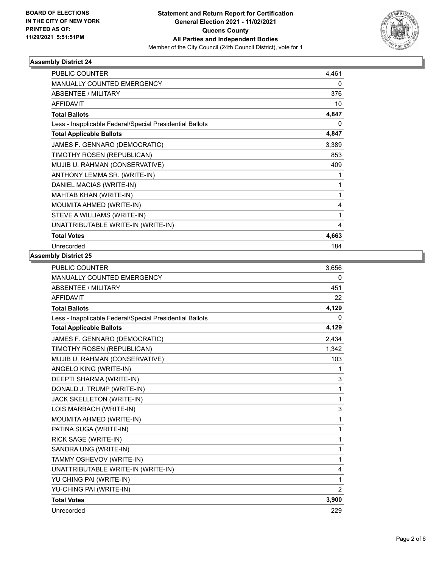

#### **Assembly District 24**

| PUBLIC COUNTER                                           | 4,461 |
|----------------------------------------------------------|-------|
| <b>MANUALLY COUNTED EMERGENCY</b>                        | 0     |
| <b>ABSENTEE / MILITARY</b>                               | 376   |
| <b>AFFIDAVIT</b>                                         | 10    |
| <b>Total Ballots</b>                                     | 4,847 |
| Less - Inapplicable Federal/Special Presidential Ballots | 0     |
| <b>Total Applicable Ballots</b>                          | 4,847 |
| JAMES F. GENNARO (DEMOCRATIC)                            | 3,389 |
| TIMOTHY ROSEN (REPUBLICAN)                               | 853   |
| MUJIB U. RAHMAN (CONSERVATIVE)                           | 409   |
| ANTHONY LEMMA SR. (WRITE-IN)                             | 1     |
| DANIEL MACIAS (WRITE-IN)                                 | 1     |
| MAHTAB KHAN (WRITE-IN)                                   | 1     |
| MOUMITA AHMED (WRITE-IN)                                 | 4     |
| STEVE A WILLIAMS (WRITE-IN)                              | 1     |
| UNATTRIBUTABLE WRITE-IN (WRITE-IN)                       | 4     |
| <b>Total Votes</b>                                       | 4,663 |
| Unrecorded                                               | 184   |

#### **Assembly District 25**

| <b>MANUALLY COUNTED EMERGENCY</b><br>0<br>ABSENTEE / MILITARY<br>451<br><b>AFFIDAVIT</b><br>22<br>4,129<br><b>Total Ballots</b><br>0<br>Less - Inapplicable Federal/Special Presidential Ballots<br>4,129<br><b>Total Applicable Ballots</b><br>JAMES F. GENNARO (DEMOCRATIC)<br>2,434<br>TIMOTHY ROSEN (REPUBLICAN)<br>1,342<br>MUJIB U. RAHMAN (CONSERVATIVE)<br>103<br>ANGELO KING (WRITE-IN)<br>1<br>DEEPTI SHARMA (WRITE-IN)<br>3<br>DONALD J. TRUMP (WRITE-IN)<br>1<br><b>JACK SKELLETON (WRITE-IN)</b><br>1<br>3<br>LOIS MARBACH (WRITE-IN)<br>1<br>MOUMITA AHMED (WRITE-IN)<br>PATINA SUGA (WRITE-IN)<br>1<br>RICK SAGE (WRITE-IN)<br>1<br>SANDRA UNG (WRITE-IN)<br>1<br>TAMMY OSHEVOV (WRITE-IN)<br>1<br>UNATTRIBUTABLE WRITE-IN (WRITE-IN)<br>4<br>YU CHING PAI (WRITE-IN)<br>1<br>YU-CHING PAI (WRITE-IN)<br>2<br>3,900<br><b>Total Votes</b><br>Unrecorded<br>229 | PUBLIC COUNTER | 3,656 |
|-------------------------------------------------------------------------------------------------------------------------------------------------------------------------------------------------------------------------------------------------------------------------------------------------------------------------------------------------------------------------------------------------------------------------------------------------------------------------------------------------------------------------------------------------------------------------------------------------------------------------------------------------------------------------------------------------------------------------------------------------------------------------------------------------------------------------------------------------------------------------------|----------------|-------|
|                                                                                                                                                                                                                                                                                                                                                                                                                                                                                                                                                                                                                                                                                                                                                                                                                                                                               |                |       |
|                                                                                                                                                                                                                                                                                                                                                                                                                                                                                                                                                                                                                                                                                                                                                                                                                                                                               |                |       |
|                                                                                                                                                                                                                                                                                                                                                                                                                                                                                                                                                                                                                                                                                                                                                                                                                                                                               |                |       |
|                                                                                                                                                                                                                                                                                                                                                                                                                                                                                                                                                                                                                                                                                                                                                                                                                                                                               |                |       |
|                                                                                                                                                                                                                                                                                                                                                                                                                                                                                                                                                                                                                                                                                                                                                                                                                                                                               |                |       |
|                                                                                                                                                                                                                                                                                                                                                                                                                                                                                                                                                                                                                                                                                                                                                                                                                                                                               |                |       |
|                                                                                                                                                                                                                                                                                                                                                                                                                                                                                                                                                                                                                                                                                                                                                                                                                                                                               |                |       |
|                                                                                                                                                                                                                                                                                                                                                                                                                                                                                                                                                                                                                                                                                                                                                                                                                                                                               |                |       |
|                                                                                                                                                                                                                                                                                                                                                                                                                                                                                                                                                                                                                                                                                                                                                                                                                                                                               |                |       |
|                                                                                                                                                                                                                                                                                                                                                                                                                                                                                                                                                                                                                                                                                                                                                                                                                                                                               |                |       |
|                                                                                                                                                                                                                                                                                                                                                                                                                                                                                                                                                                                                                                                                                                                                                                                                                                                                               |                |       |
|                                                                                                                                                                                                                                                                                                                                                                                                                                                                                                                                                                                                                                                                                                                                                                                                                                                                               |                |       |
|                                                                                                                                                                                                                                                                                                                                                                                                                                                                                                                                                                                                                                                                                                                                                                                                                                                                               |                |       |
|                                                                                                                                                                                                                                                                                                                                                                                                                                                                                                                                                                                                                                                                                                                                                                                                                                                                               |                |       |
|                                                                                                                                                                                                                                                                                                                                                                                                                                                                                                                                                                                                                                                                                                                                                                                                                                                                               |                |       |
|                                                                                                                                                                                                                                                                                                                                                                                                                                                                                                                                                                                                                                                                                                                                                                                                                                                                               |                |       |
|                                                                                                                                                                                                                                                                                                                                                                                                                                                                                                                                                                                                                                                                                                                                                                                                                                                                               |                |       |
|                                                                                                                                                                                                                                                                                                                                                                                                                                                                                                                                                                                                                                                                                                                                                                                                                                                                               |                |       |
|                                                                                                                                                                                                                                                                                                                                                                                                                                                                                                                                                                                                                                                                                                                                                                                                                                                                               |                |       |
|                                                                                                                                                                                                                                                                                                                                                                                                                                                                                                                                                                                                                                                                                                                                                                                                                                                                               |                |       |
|                                                                                                                                                                                                                                                                                                                                                                                                                                                                                                                                                                                                                                                                                                                                                                                                                                                                               |                |       |
|                                                                                                                                                                                                                                                                                                                                                                                                                                                                                                                                                                                                                                                                                                                                                                                                                                                                               |                |       |
|                                                                                                                                                                                                                                                                                                                                                                                                                                                                                                                                                                                                                                                                                                                                                                                                                                                                               |                |       |
|                                                                                                                                                                                                                                                                                                                                                                                                                                                                                                                                                                                                                                                                                                                                                                                                                                                                               |                |       |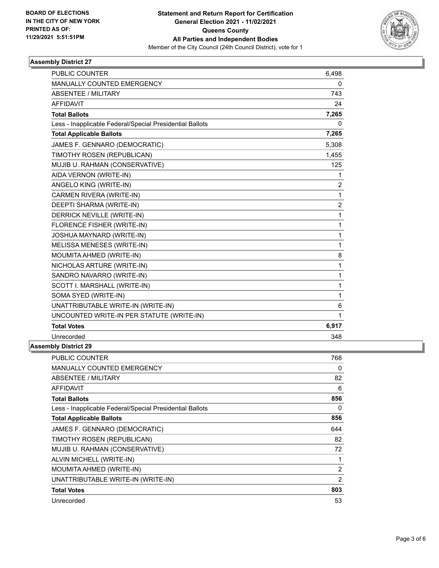

#### **Assembly District 27**

| <b>PUBLIC COUNTER</b>                                    | 6,498    |
|----------------------------------------------------------|----------|
| MANUALLY COUNTED EMERGENCY                               | $\Omega$ |
| ABSENTEE / MILITARY                                      | 743      |
| <b>AFFIDAVIT</b>                                         | 24       |
| <b>Total Ballots</b>                                     | 7,265    |
| Less - Inapplicable Federal/Special Presidential Ballots | 0        |
| <b>Total Applicable Ballots</b>                          | 7,265    |
| JAMES F. GENNARO (DEMOCRATIC)                            | 5,308    |
| TIMOTHY ROSEN (REPUBLICAN)                               | 1,455    |
| MUJIB U. RAHMAN (CONSERVATIVE)                           | 125      |
| AIDA VERNON (WRITE-IN)                                   | 1        |
| ANGELO KING (WRITE-IN)                                   | 2        |
| CARMEN RIVERA (WRITE-IN)                                 | 1        |
| DEEPTI SHARMA (WRITE-IN)                                 | 2        |
| DERRICK NEVILLE (WRITE-IN)                               | 1        |
| FLORENCE FISHER (WRITE-IN)                               | 1        |
| JOSHUA MAYNARD (WRITE-IN)                                | 1        |
| MELISSA MENESES (WRITE-IN)                               | 1        |
| MOUMITA AHMED (WRITE-IN)                                 | 8        |
| NICHOLAS ARTURE (WRITE-IN)                               | 1        |
| SANDRO NAVARRO (WRITE-IN)                                | 1        |
| SCOTT I. MARSHALL (WRITE-IN)                             | 1        |
| SOMA SYED (WRITE-IN)                                     | 1        |
| UNATTRIBUTABLE WRITE-IN (WRITE-IN)                       | 6        |
| UNCOUNTED WRITE-IN PER STATUTE (WRITE-IN)                | 1        |
| <b>Total Votes</b>                                       | 6,917    |
| Unrecorded                                               | 348      |
| nhlw Nietriet 70                                         |          |

### **Assembly District 29**

| <b>PUBLIC COUNTER</b>                                    | 768            |
|----------------------------------------------------------|----------------|
| <b>MANUALLY COUNTED EMERGENCY</b>                        | 0              |
| <b>ABSENTEE / MILITARY</b>                               | 82             |
| AFFIDAVIT                                                | 6              |
| <b>Total Ballots</b>                                     | 856            |
| Less - Inapplicable Federal/Special Presidential Ballots | $\Omega$       |
| <b>Total Applicable Ballots</b>                          | 856            |
| JAMES F. GENNARO (DEMOCRATIC)                            | 644            |
| TIMOTHY ROSEN (REPUBLICAN)                               | 82             |
| MUJIB U. RAHMAN (CONSERVATIVE)                           | 72             |
| ALVIN MICHELL (WRITE-IN)                                 | 1              |
| MOUMITA AHMED (WRITE-IN)                                 | $\overline{2}$ |
| UNATTRIBUTABLE WRITE-IN (WRITE-IN)                       | $\overline{2}$ |
| <b>Total Votes</b>                                       | 803            |
| Unrecorded                                               | 53             |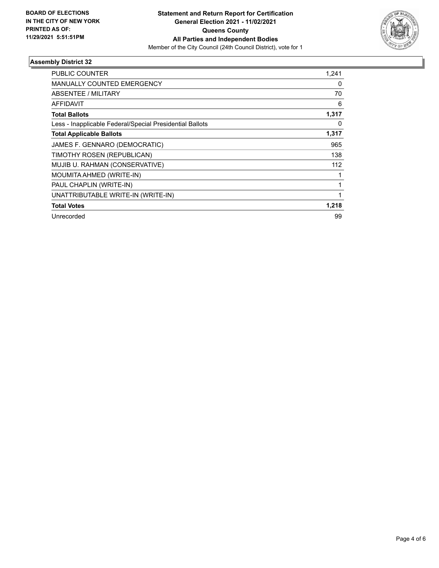

#### **Assembly District 32**

| PUBLIC COUNTER                                           | 1,241 |
|----------------------------------------------------------|-------|
| <b>MANUALLY COUNTED EMERGENCY</b>                        | 0     |
| ABSENTEE / MILITARY                                      | 70    |
| <b>AFFIDAVIT</b>                                         | 6     |
| <b>Total Ballots</b>                                     | 1,317 |
| Less - Inapplicable Federal/Special Presidential Ballots | 0     |
| <b>Total Applicable Ballots</b>                          | 1,317 |
| JAMES F. GENNARO (DEMOCRATIC)                            | 965   |
| TIMOTHY ROSEN (REPUBLICAN)                               | 138   |
| MUJIB U. RAHMAN (CONSERVATIVE)                           | 112   |
| MOUMITA AHMED (WRITE-IN)                                 |       |
| PAUL CHAPLIN (WRITE-IN)                                  |       |
| UNATTRIBUTABLE WRITE-IN (WRITE-IN)                       |       |
| <b>Total Votes</b>                                       | 1,218 |
| Unrecorded                                               | 99    |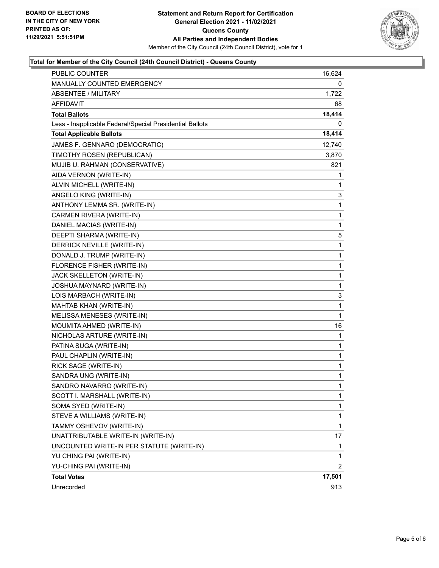

#### **Total for Member of the City Council (24th Council District) - Queens County**

| PUBLIC COUNTER                                           | 16,624         |
|----------------------------------------------------------|----------------|
| MANUALLY COUNTED EMERGENCY                               | 0              |
| ABSENTEE / MILITARY                                      | 1,722          |
| AFFIDAVIT                                                | 68             |
| <b>Total Ballots</b>                                     | 18,414         |
| Less - Inapplicable Federal/Special Presidential Ballots | 0              |
| <b>Total Applicable Ballots</b>                          | 18,414         |
| JAMES F. GENNARO (DEMOCRATIC)                            | 12,740         |
| TIMOTHY ROSEN (REPUBLICAN)                               | 3,870          |
| MUJIB U. RAHMAN (CONSERVATIVE)                           | 821            |
| AIDA VERNON (WRITE-IN)                                   | 1              |
| ALVIN MICHELL (WRITE-IN)                                 | 1              |
| ANGELO KING (WRITE-IN)                                   | 3              |
| ANTHONY LEMMA SR. (WRITE-IN)                             | 1              |
| CARMEN RIVERA (WRITE-IN)                                 | $\mathbf 1$    |
| DANIEL MACIAS (WRITE-IN)                                 | 1              |
| DEEPTI SHARMA (WRITE-IN)                                 | 5              |
| DERRICK NEVILLE (WRITE-IN)                               | $\mathbf 1$    |
| DONALD J. TRUMP (WRITE-IN)                               | 1              |
| FLORENCE FISHER (WRITE-IN)                               | 1              |
| JACK SKELLETON (WRITE-IN)                                | $\mathbf 1$    |
| JOSHUA MAYNARD (WRITE-IN)                                | 1              |
| LOIS MARBACH (WRITE-IN)                                  | 3              |
| MAHTAB KHAN (WRITE-IN)                                   | $\mathbf 1$    |
| MELISSA MENESES (WRITE-IN)                               | 1              |
| MOUMITA AHMED (WRITE-IN)                                 | 16             |
| NICHOLAS ARTURE (WRITE-IN)                               | 1              |
| PATINA SUGA (WRITE-IN)                                   | 1              |
| PAUL CHAPLIN (WRITE-IN)                                  | 1              |
| RICK SAGE (WRITE-IN)                                     | 1              |
| SANDRA UNG (WRITE-IN)                                    | 1              |
| SANDRO NAVARRO (WRITE-IN)                                | 1              |
| SCOTT I. MARSHALL (WRITE-IN)                             | 1              |
| SOMA SYED (WRITE-IN)                                     | 1              |
| STEVE A WILLIAMS (WRITE-IN)                              | 1              |
| TAMMY OSHEVOV (WRITE-IN)                                 | $\mathbf{1}$   |
| UNATTRIBUTABLE WRITE-IN (WRITE-IN)                       | 17             |
| UNCOUNTED WRITE-IN PER STATUTE (WRITE-IN)                | 1              |
| YU CHING PAI (WRITE-IN)                                  | 1              |
| YU-CHING PAI (WRITE-IN)                                  | $\overline{2}$ |
| <b>Total Votes</b>                                       | 17,501         |
| Unrecorded                                               | 913            |